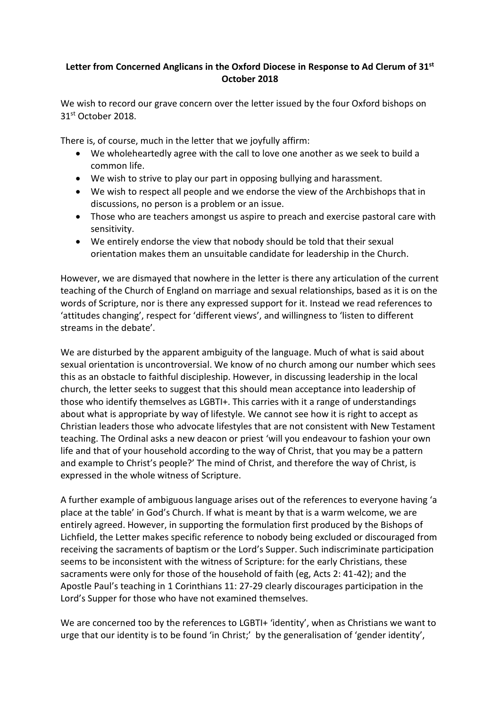## **Letter from Concerned Anglicans in the Oxford Diocese in Response to Ad Clerum of 31st October 2018**

We wish to record our grave concern over the letter issued by the four Oxford bishops on 31st October 2018.

There is, of course, much in the letter that we joyfully affirm:

- We wholeheartedly agree with the call to love one another as we seek to build a common life.
- We wish to strive to play our part in opposing bullying and harassment.
- We wish to respect all people and we endorse the view of the Archbishops that in discussions, no person is a problem or an issue.
- Those who are teachers amongst us aspire to preach and exercise pastoral care with sensitivity.
- We entirely endorse the view that nobody should be told that their sexual orientation makes them an unsuitable candidate for leadership in the Church.

However, we are dismayed that nowhere in the letter is there any articulation of the current teaching of the Church of England on marriage and sexual relationships, based as it is on the words of Scripture, nor is there any expressed support for it. Instead we read references to 'attitudes changing', respect for 'different views', and willingness to 'listen to different streams in the debate'.

We are disturbed by the apparent ambiguity of the language. Much of what is said about sexual orientation is uncontroversial. We know of no church among our number which sees this as an obstacle to faithful discipleship. However, in discussing leadership in the local church, the letter seeks to suggest that this should mean acceptance into leadership of those who identify themselves as LGBTI+. This carries with it a range of understandings about what is appropriate by way of lifestyle. We cannot see how it is right to accept as Christian leaders those who advocate lifestyles that are not consistent with New Testament teaching. The Ordinal asks a new deacon or priest 'will you endeavour to fashion your own life and that of your household according to the way of Christ, that you may be a pattern and example to Christ's people?' The mind of Christ, and therefore the way of Christ, is expressed in the whole witness of Scripture.

A further example of ambiguous language arises out of the references to everyone having 'a place at the table' in God's Church. If what is meant by that is a warm welcome, we are entirely agreed. However, in supporting the formulation first produced by the Bishops of Lichfield, the Letter makes specific reference to nobody being excluded or discouraged from receiving the sacraments of baptism or the Lord's Supper. Such indiscriminate participation seems to be inconsistent with the witness of Scripture: for the early Christians, these sacraments were only for those of the household of faith (eg, Acts 2: 41-42); and the Apostle Paul's teaching in 1 Corinthians 11: 27-29 clearly discourages participation in the Lord's Supper for those who have not examined themselves.

We are concerned too by the references to LGBTI+ 'identity', when as Christians we want to urge that our identity is to be found 'in Christ;' by the generalisation of 'gender identity',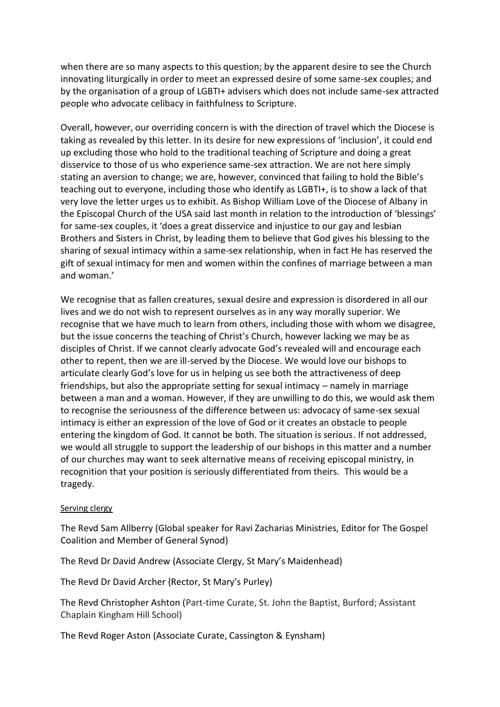when there are so many aspects to this question; by the apparent desire to see the Church innovating liturgically in order to meet an expressed desire of some same-sex couples; and by the organisation of a group of LGBTI+ advisers which does not include same-sex attracted people who advocate celibacy in faithfulness to Scripture.

Overall, however, our overriding concern is with the direction of travel which the Diocese is taking as revealed by this letter. In its desire for new expressions of 'inclusion', it could end up excluding those who hold to the traditional teaching of Scripture and doing a great disservice to those of us who experience same-sex attraction. We are not here simply stating an aversion to change; we are, however, convinced that failing to hold the Bible's teaching out to everyone, including those who identify as LGBTI+, is to show a lack of that very love the letter urges us to exhibit. As Bishop William Love of the Diocese of Albany in the Episcopal Church of the USA said last month in relation to the introduction of 'blessings' for same-sex couples, it 'does a great disservice and injustice to our gay and lesbian Brothers and Sisters in Christ, by leading them to believe that God gives his blessing to the sharing of sexual intimacy within a same-sex relationship, when in fact He has reserved the gift of sexual intimacy for men and women within the confines of marriage between a man and woman.'

We recognise that as fallen creatures, sexual desire and expression is disordered in all our lives and we do not wish to represent ourselves as in any way morally superior. We recognise that we have much to learn from others, including those with whom we disagree, but the issue concerns the teaching of Christ's Church, however lacking we may be as disciples of Christ. If we cannot clearly advocate God's revealed will and encourage each other to repent, then we are ill-served by the Diocese. We would love our bishops to articulate clearly God's love for us in helping us see both the attractiveness of deep friendships, but also the appropriate setting for sexual intimacy – namely in marriage between a man and a woman. However, if they are unwilling to do this, we would ask them to recognise the seriousness of the difference between us: advocacy of same-sex sexual intimacy is either an expression of the love of God or it creates an obstacle to people entering the kingdom of God. It cannot be both. The situation is serious. If not addressed, we would all struggle to support the leadership of our bishops in this matter and a number of our churches may want to seek alternative means of receiving episcopal ministry, in recognition that your position is seriously differentiated from theirs. This would be a tragedy.

## Serving clergy

The Revd Sam Allberry (Global speaker for Ravi Zacharias Ministries, Editor for The Gospel Coalition and Member of General Synod)

The Revd Dr David Andrew (Associate Clergy, St Mary's Maidenhead)

The Revd Dr David Archer (Rector, St Mary's Purley)

The Revd Christopher Ashton (Part-time Curate, St. John the Baptist, Burford; Assistant Chaplain Kingham Hill School)

The Revd Roger Aston (Associate Curate, Cassington & Eynsham)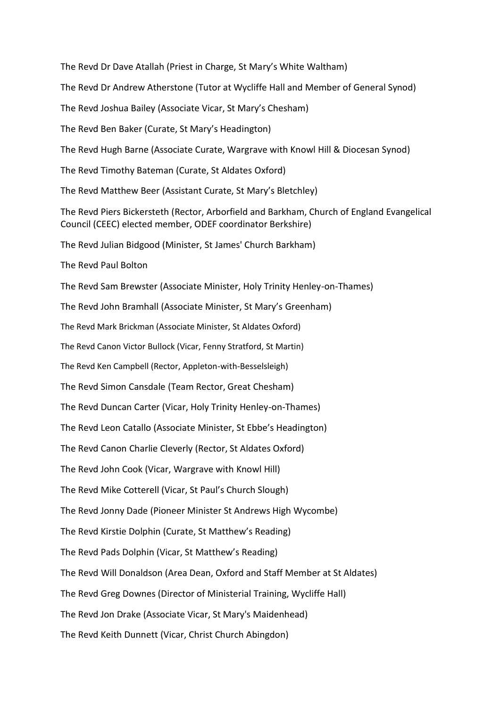The Revd Dr Dave Atallah (Priest in Charge, St Mary's White Waltham) The Revd Dr Andrew Atherstone (Tutor at Wycliffe Hall and Member of General Synod) The Revd Joshua Bailey (Associate Vicar, St Mary's Chesham) The Revd Ben Baker (Curate, St Mary's Headington) The Revd Hugh Barne (Associate Curate, Wargrave with Knowl Hill & Diocesan Synod) The Revd Timothy Bateman (Curate, St Aldates Oxford) The Revd Matthew Beer (Assistant Curate, St Mary's Bletchley) The Revd Piers Bickersteth (Rector, Arborfield and Barkham, Church of England Evangelical Council (CEEC) elected member, ODEF coordinator Berkshire) The Revd Julian Bidgood (Minister, St James' Church Barkham) The Revd Paul Bolton The Revd Sam Brewster (Associate Minister, Holy Trinity Henley-on-Thames) The Revd John Bramhall (Associate Minister, St Mary's Greenham) The Revd Mark Brickman (Associate Minister, St Aldates Oxford) The Revd Canon Victor Bullock (Vicar, Fenny Stratford, St Martin) The Revd Ken Campbell (Rector, Appleton-with-Besselsleigh) The Revd Simon Cansdale (Team Rector, Great Chesham) The Revd Duncan Carter (Vicar, Holy Trinity Henley-on-Thames) The Revd Leon Catallo (Associate Minister, St Ebbe's Headington) The Revd Canon Charlie Cleverly (Rector, St Aldates Oxford) The Revd John Cook (Vicar, Wargrave with Knowl Hill) The Revd Mike Cotterell (Vicar, St Paul's Church Slough) The Revd Jonny Dade (Pioneer Minister St Andrews High Wycombe) The Revd Kirstie Dolphin (Curate, St Matthew's Reading) The Revd Pads Dolphin (Vicar, St Matthew's Reading) The Revd Will Donaldson (Area Dean, Oxford and Staff Member at St Aldates) The Revd Greg Downes (Director of Ministerial Training, Wycliffe Hall) The Revd Jon Drake (Associate Vicar, St Mary's Maidenhead) The Revd Keith Dunnett (Vicar, Christ Church Abingdon)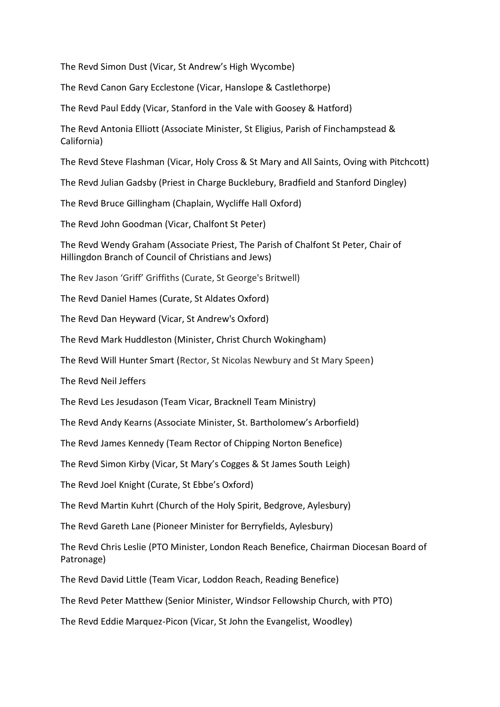The Revd Simon Dust (Vicar, St Andrew's High Wycombe)

The Revd Canon Gary Ecclestone (Vicar, Hanslope & Castlethorpe)

The Revd Paul Eddy (Vicar, Stanford in the Vale with Goosey & Hatford)

The Revd Antonia Elliott (Associate Minister, St Eligius, Parish of Finchampstead & California)

The Revd Steve Flashman (Vicar, Holy Cross & St Mary and All Saints, Oving with Pitchcott)

The Revd Julian Gadsby (Priest in Charge Bucklebury, Bradfield and Stanford Dingley)

The Revd Bruce Gillingham (Chaplain, Wycliffe Hall Oxford)

The Revd John Goodman (Vicar, Chalfont St Peter)

The Revd Wendy Graham (Associate Priest, The Parish of Chalfont St Peter, Chair of Hillingdon Branch of Council of Christians and Jews)

The Rev Jason 'Griff' Griffiths (Curate, St George's Britwell)

The Revd Daniel Hames (Curate, St Aldates Oxford)

The Revd Dan Heyward (Vicar, St Andrew's Oxford)

The Revd Mark Huddleston (Minister, Christ Church Wokingham)

The Revd Will Hunter Smart (Rector, St Nicolas Newbury and St Mary Speen)

The Revd Neil Jeffers

The Revd Les Jesudason (Team Vicar, Bracknell Team Ministry)

The Revd Andy Kearns (Associate Minister, St. Bartholomew's Arborfield)

The Revd James Kennedy (Team Rector of Chipping Norton Benefice)

The Revd Simon Kirby (Vicar, St Mary's Cogges & St James South Leigh)

The Revd Joel Knight (Curate, St Ebbe's Oxford)

The Revd Martin Kuhrt (Church of the Holy Spirit, Bedgrove, Aylesbury)

The Revd Gareth Lane (Pioneer Minister for Berryfields, Aylesbury)

The Revd Chris Leslie (PTO Minister, London Reach Benefice, Chairman Diocesan Board of Patronage)

The Revd David Little (Team Vicar, Loddon Reach, Reading Benefice)

The Revd Peter Matthew (Senior Minister, Windsor Fellowship Church, with PTO)

The Revd Eddie Marquez-Picon (Vicar, St John the Evangelist, Woodley)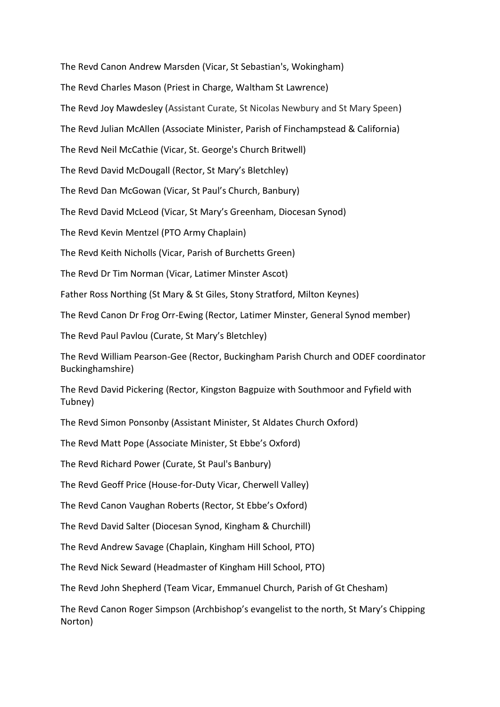The Revd Canon Andrew Marsden (Vicar, St Sebastian's, Wokingham)

The Revd Charles Mason (Priest in Charge, Waltham St Lawrence)

The Revd Joy Mawdesley (Assistant Curate, St Nicolas Newbury and St Mary Speen)

The Revd Julian McAllen (Associate Minister, Parish of Finchampstead & California)

The Revd Neil McCathie (Vicar, St. George's Church Britwell)

The Revd David McDougall (Rector, St Mary's Bletchley)

The Revd Dan McGowan (Vicar, St Paul's Church, Banbury)

The Revd David McLeod (Vicar, St Mary's Greenham, Diocesan Synod)

The Revd Kevin Mentzel (PTO Army Chaplain)

The Revd Keith Nicholls (Vicar, Parish of Burchetts Green)

The Revd Dr Tim Norman (Vicar, Latimer Minster Ascot)

Father Ross Northing (St Mary & St Giles, Stony Stratford, Milton Keynes)

The Revd Canon Dr Frog Orr-Ewing (Rector, Latimer Minster, General Synod member)

The Revd Paul Pavlou (Curate, St Mary's Bletchley)

The Revd William Pearson-Gee (Rector, Buckingham Parish Church and ODEF coordinator Buckinghamshire)

The Revd David Pickering (Rector, Kingston Bagpuize with Southmoor and Fyfield with Tubney)

The Revd Simon Ponsonby (Assistant Minister, St Aldates Church Oxford)

The Revd Matt Pope (Associate Minister, St Ebbe's Oxford)

The Revd Richard Power (Curate, St Paul's Banbury)

The Revd Geoff Price (House-for-Duty Vicar, Cherwell Valley)

The Revd Canon Vaughan Roberts (Rector, St Ebbe's Oxford)

The Revd David Salter (Diocesan Synod, Kingham & Churchill)

The Revd Andrew Savage (Chaplain, Kingham Hill School, PTO)

The Revd Nick Seward (Headmaster of Kingham Hill School, PTO)

The Revd John Shepherd (Team Vicar, Emmanuel Church, Parish of Gt Chesham)

The Revd Canon Roger Simpson (Archbishop's evangelist to the north, St Mary's Chipping Norton)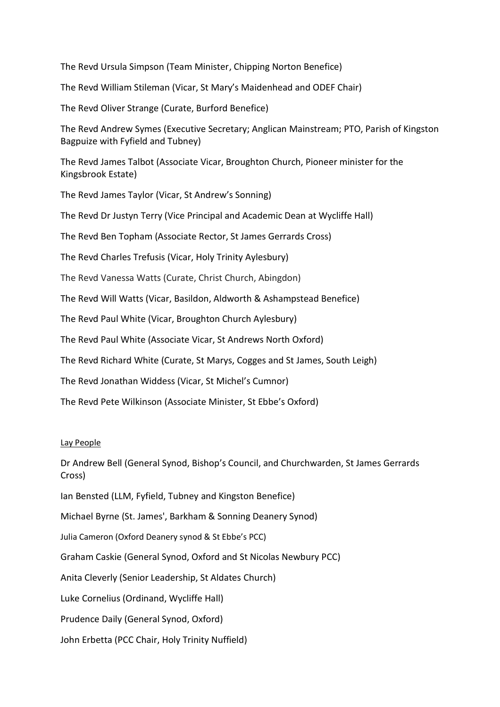The Revd Ursula Simpson (Team Minister, Chipping Norton Benefice)

The Revd William Stileman (Vicar, St Mary's Maidenhead and ODEF Chair)

The Revd Oliver Strange (Curate, Burford Benefice)

The Revd Andrew Symes (Executive Secretary; Anglican Mainstream; PTO, Parish of Kingston Bagpuize with Fyfield and Tubney)

The Revd James Talbot (Associate Vicar, Broughton Church, Pioneer minister for the Kingsbrook Estate)

The Revd James Taylor (Vicar, St Andrew's Sonning)

The Revd Dr Justyn Terry (Vice Principal and Academic Dean at Wycliffe Hall)

The Revd Ben Topham (Associate Rector, St James Gerrards Cross)

The Revd Charles Trefusis (Vicar, Holy Trinity Aylesbury)

The Revd Vanessa Watts (Curate, Christ Church, Abingdon)

The Revd Will Watts (Vicar, Basildon, Aldworth & Ashampstead Benefice)

The Revd Paul White (Vicar, Broughton Church Aylesbury)

The Revd Paul White (Associate Vicar, St Andrews North Oxford)

The Revd Richard White (Curate, St Marys, Cogges and St James, South Leigh)

The Revd Jonathan Widdess (Vicar, St Michel's Cumnor)

The Revd Pete Wilkinson (Associate Minister, St Ebbe's Oxford)

## Lay People

Dr Andrew Bell (General Synod, Bishop's Council, and Churchwarden, St James Gerrards Cross)

Ian Bensted (LLM, Fyfield, Tubney and Kingston Benefice)

Michael Byrne (St. James', Barkham & Sonning Deanery Synod)

Julia Cameron (Oxford Deanery synod & St Ebbe's PCC)

Graham Caskie (General Synod, Oxford and St Nicolas Newbury PCC)

Anita Cleverly (Senior Leadership, St Aldates Church)

Luke Cornelius (Ordinand, Wycliffe Hall)

Prudence Daily (General Synod, Oxford)

John Erbetta (PCC Chair, Holy Trinity Nuffield)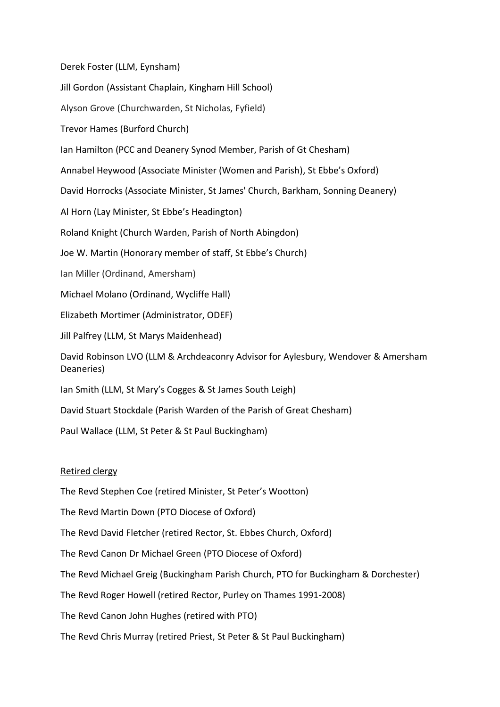Derek Foster (LLM, Eynsham)

Jill Gordon (Assistant Chaplain, Kingham Hill School)

Alyson Grove (Churchwarden, St Nicholas, Fyfield)

Trevor Hames (Burford Church)

Ian Hamilton (PCC and Deanery Synod Member, Parish of Gt Chesham)

Annabel Heywood (Associate Minister (Women and Parish), St Ebbe's Oxford)

David Horrocks (Associate Minister, St James' Church, Barkham, Sonning Deanery)

Al Horn (Lay Minister, St Ebbe's Headington)

Roland Knight (Church Warden, Parish of North Abingdon)

Joe W. Martin (Honorary member of staff, St Ebbe's Church)

Ian Miller (Ordinand, Amersham)

Michael Molano (Ordinand, Wycliffe Hall)

Elizabeth Mortimer (Administrator, ODEF)

Jill Palfrey (LLM, St Marys Maidenhead)

David Robinson LVO (LLM & Archdeaconry Advisor for Aylesbury, Wendover & Amersham Deaneries)

Ian Smith (LLM, St Mary's Cogges & St James South Leigh)

David Stuart Stockdale (Parish Warden of the Parish of Great Chesham)

Paul Wallace (LLM, St Peter & St Paul Buckingham)

## Retired clergy

The Revd Stephen Coe (retired Minister, St Peter's Wootton)

The Revd Martin Down (PTO Diocese of Oxford)

The Revd David Fletcher (retired Rector, St. Ebbes Church, Oxford)

The Revd Canon Dr Michael Green (PTO Diocese of Oxford)

The Revd Michael Greig (Buckingham Parish Church, PTO for Buckingham & Dorchester)

The Revd Roger Howell (retired Rector, Purley on Thames 1991-2008)

The Revd Canon John Hughes (retired with PTO)

The Revd Chris Murray (retired Priest, St Peter & St Paul Buckingham)